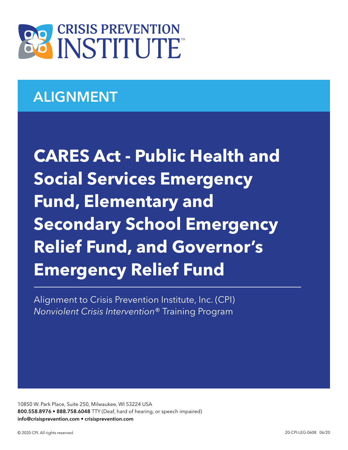

# ALIGNMENT

**CARES Act - Public Health and Social Services Emergency Fund, Elementary and Secondary School Emergency Relief Fund, and Governor's Emergency Relief Fund**

Alignment to Crisis Prevention Institute, Inc. (CPI) *Nonviolent Crisis Intervention*® Training Program

10850 W. Park Place, Suite 250, Milwaukee, WI 53224 USA 800.558.8976 • 888.758.6048 TTY (Deaf, hard of hearing, or speech impaired) info@crisisprevention.com • crisisprevention.com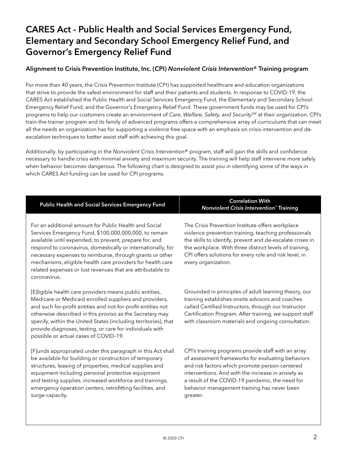## CARES Act - Public Health and Social Services Emergency Fund, Elementary and Secondary School Emergency Relief Fund, and Governor's Emergency Relief Fund

### Alignment to Crisis Prevention Institute, Inc. (CPI) *Nonviolent Crisis Intervention*® Training program

For more than 40 years, the Crisis Prevention Institute (CPI) has supported healthcare and education organizations that strive to provide the safest environment for staff and their patients and students. In response to COVID-19, the CARES Act established the Public Health and Social Services Emergency Fund, the Elementary and Secondary School Emergency Relief Fund, and the Governor's Emergency Relief Fund. These government funds may be used for CPI's programs to help our customers create an environment of *Care, Welfare, Safety, and Security<sup>SM</sup>* at their organization. CPI's train-the-trainer program and its family of advanced programs offers a comprehensive array of curriculums that can meet all the needs an organization has for supporting a violence free space with an emphasis on crisis intervention and deescalation techniques to better assist staff with achieving this goal.

Additionally, by participating in the *Nonviolent Crisis Intervention*® program, staff will gain the skills and confidence necessary to handle crisis with minimal anxiety and maximum security. The training will help staff intervene more safely when behavior becomes dangerous. The following chart is designed to assist you in identifying some of the ways in which CARES Act funding can be used for CPI programs.

| <b>Public Health and Social Services Emergency Fund</b>                                                                                                                                                                                                                                                                                                                                                                                          | <b>Correlation With</b><br><b>Nonviolent Crisis Intervention® Training</b>                                                                                                                                                                                                                                       |
|--------------------------------------------------------------------------------------------------------------------------------------------------------------------------------------------------------------------------------------------------------------------------------------------------------------------------------------------------------------------------------------------------------------------------------------------------|------------------------------------------------------------------------------------------------------------------------------------------------------------------------------------------------------------------------------------------------------------------------------------------------------------------|
| For an additional amount for Public Health and Social<br>Services Emergency Fund, \$100,000,000,000, to remain<br>available until expended, to prevent, prepare for, and<br>respond to coronavirus, domestically or internationally, for<br>necessary expenses to reimburse, through grants or other<br>mechanisms, eligible health care providers for health care<br>related expenses or lost revenues that are attributable to<br>coronavirus. | The Crisis Prevention Institute offers workplace<br>violence prevention training, teaching professionals<br>the skills to identify, prevent and de-escalate crises in<br>the workplace. With three distinct levels of training,<br>CPI offers solutions for every role and risk level, in<br>every organization. |
| [E]ligible health care providers means public entities,<br>Medicare or Medicaid enrolled suppliers and providers,                                                                                                                                                                                                                                                                                                                                | Grounded in principles of adult learning theory, our<br>training establishes onsite advisors and coaches                                                                                                                                                                                                         |

and such for-profit entities and not-for-profit entities not otherwise described in this proviso as the Secretary may specify, within the United States (including territories), that provide diagnoses, testing, or care for individuals with possible or actual cases of COVID–19.

[F]unds appropriated under this paragraph in this Act shall be available for building or construction of temporary structures, leasing of properties, medical supplies and equipment including personal protective equipment and testing supplies, increased workforce and trainings, emergency operation centers, retrofitting facilities, and surge capacity.

called Certified Instructors, through our Instructor Certification Program. After training, we support staff with classroom materials and ongoing consultation.

CPI's training programs provide staff with an array of assessment frameworks for evaluating behaviors and risk factors which promote person-centered interventions. And with the increase in anxiety as a result of the COVID-19 pandemic, the need for behavior management training has never been greater.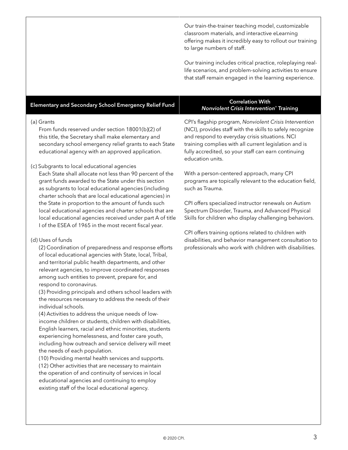Our train-the-trainer teaching model, customizable classroom materials, and interactive eLearning offering makes it incredibly easy to rollout our training to large numbers of staff.

Our training includes critical practice, roleplaying reallife scenarios, and problem-solving activities to ensure that staff remain engaged in the learning experience.

### Elementary and Secondary School Emergency Relief Fund Correlation With *Nonviolent Crisis Intervention*® Training

### (a) Grants

From funds reserved under section 18001(b)(2) of this title, the Secretary shall make elementary and secondary school emergency relief grants to each State educational agency with an approved application.

### (c) Subgrants to local educational agencies

Each State shall allocate not less than 90 percent of the grant funds awarded to the State under this section as subgrants to local educational agencies (including charter schools that are local educational agencies) in the State in proportion to the amount of funds such local educational agencies and charter schools that are local educational agencies received under part A of title I of the ESEA of 1965 in the most recent fiscal year.

### (d) Uses of funds

(2) Coordination of preparedness and response efforts of local educational agencies with State, local, Tribal, and territorial public health departments, and other relevant agencies, to improve coordinated responses among such entities to prevent, prepare for, and respond to coronavirus.

(3) Providing principals and others school leaders with the resources necessary to address the needs of their individual schools.

(4) Activities to address the unique needs of lowincome children or students, children with disabilities, English learners, racial and ethnic minorities, students experiencing homelessness, and foster care youth, including how outreach and service delivery will meet the needs of each population.

(10) Providing mental health services and supports. (12) Other activities that are necessary to maintain the operation of and continuity of services in local educational agencies and continuing to employ existing staff of the local educational agency.

CPI's flagship program, *Nonviolent Crisis Intervention* (NCI), provides staff with the skills to safely recognize and respond to everyday crisis situations. NCI training complies with all current legislation and is fully accredited, so your staff can earn continuing education units.

With a person-centered approach, many CPI programs are topically relevant to the education field, such as Trauma.

CPI offers specialized instructor renewals on Autism Spectrum Disorder, Trauma, and Advanced Physical Skills for children who display challenging behaviors.

CPI offers training options related to children with disabilities, and behavior management consultation to professionals who work with children with disabilities.